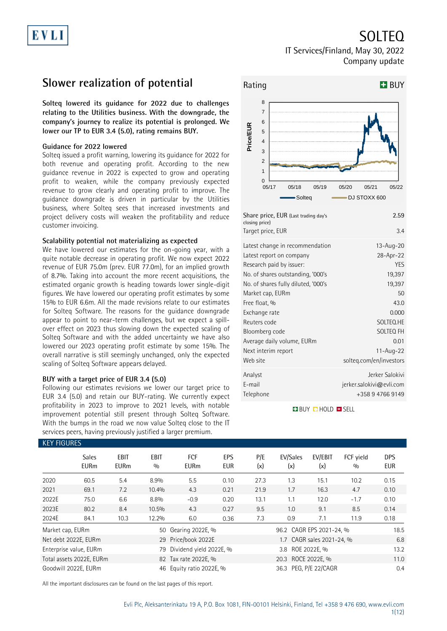# SOLTEQ

### IT Services/Finland, May 30, 2022 Company update

### **Slower realization of potential**

**Solteq lowered its guidance for 2022 due to challenges relating to the Utilities business. With the downgrade, the company's journey to realize its potential is prolonged. We lower our TP to EUR 3.4 (5.0), rating remains BUY.**

### **Guidance for 2022 lowered**

Solteq issued a profit warning, lowering its guidance for 2022 for both revenue and operating profit. According to the new guidance revenue in 2022 is expected to grow and operating profit to weaken, while the company previously expected revenue to grow clearly and operating profit to improve. The guidance downgrade is driven in particular by the Utilities business, where Solteq sees that increased investments and project delivery costs will weaken the profitability and reduce customer invoicing.

### **Scalability potential not materializing as expected**

We have lowered our estimates for the on-going year, with a quite notable decrease in operating profit. We now expect 2022 revenue of EUR 75.0m (prev. EUR 77.0m), for an implied growth of 8.7%. Taking into account the more recent acquisitions, the estimated organic growth is heading towards lower single-digit figures. We have lowered our operating profit estimates by some 15% to EUR 6.6m. All the made revisions relate to our estimates for Solteq Software. The reasons for the guidance downgrade appear to point to near-term challenges, but we expect a spillover effect on 2023 thus slowing down the expected scaling of Solteq Software and with the added uncertainty we have also lowered our 2023 operating profit estimate by some 15%. The overall narrative is still seemingly unchanged, only the expected scaling of Solteq Software appears delayed.

### **BUY with a target price of EUR 3.4 (5.0)**

Following our estimates revisions we lower our target price to EUR 3.4 (5.0) and retain our BUY-rating. We currently expect profitability in 2023 to improve to 2021 levels, with notable improvement potential still present through Solteq Software. With the bumps in the road we now value Solteq close to the IT services peers, having previously justified a larger premium.



| . . e e j = o (=abc c. aaq aa j b<br>closing price)<br>Target price, EUR | 3.4                         |
|--------------------------------------------------------------------------|-----------------------------|
| Latest change in recommendation                                          | $13 - Aug - 20$             |
| Latest report on company                                                 | 28-Apr-22                   |
| Research paid by issuer:                                                 | <b>YES</b>                  |
| No. of shares outstanding, '000's                                        | 19,397                      |
| No. of shares fully diluted, '000's                                      | 19,397                      |
| Market cap, EURm                                                         | 50                          |
| Free float, %                                                            | 43.0                        |
| Exchange rate                                                            | 0.000                       |
| Reuters code                                                             | SOLTEQ.HE                   |
| Bloomberg code                                                           | SOLTEQ FH                   |
| Average daily volume, EURm                                               | 0.01                        |
| Next interim report                                                      | 11- $Aug-22$                |
| Web site                                                                 | solteg.com/en/investors     |
| Analyst                                                                  | Jerker Salokivi             |
| E-mail                                                                   | $j$ erker.salokivi@evli.com |
| Telephone                                                                | +358 9 4766 9149            |
|                                                                          |                             |

**BUY CHOLD ESELL** 

| <b>KEY FIGURES</b>   |                             |                     |             |                          |            |            |                          |                           |                  |                   |
|----------------------|-----------------------------|---------------------|-------------|--------------------------|------------|------------|--------------------------|---------------------------|------------------|-------------------|
|                      | <b>Sales</b><br><b>EURm</b> | EBIT<br><b>EURm</b> | EBIT<br>0/0 | FCF<br><b>EURm</b>       | EPS<br>EUR | P/E<br>(x) | EV/Sales<br>(x)          | EV/EBIT<br>(x)            | FCF yield<br>0/0 | <b>DPS</b><br>EUR |
| 2020                 | 60.5                        | 5.4                 | 8.9%        | 5.5                      | 0.10       | 27.3       | 1.3                      | 15.1                      | 10.2             | 0.15              |
| 2021                 | 69.1                        | 7.2                 | 10.4%       | 4.3                      | 0.21       | 21.9       | 1.7                      | 16.3                      | 4.7              | 0.10              |
| 2022E                | 75.0                        | 6.6                 | 8.8%        | $-0.9$                   | 0.20       | 13.1       | 1.1                      | 12.0                      | $-1.7$           | 0.10              |
| 2023E                | 80.2                        | 8.4                 | 10.5%       | 4.3                      | 0.27       | 9.5        | 1.0                      | 9.1                       | 8.5              | 0.14              |
| 2024E                | 84.1                        | 10.3                | 12.2%       | 6.0                      | 0.36       | 7.3        | 0.9                      | 7.1                       | 11.9             | 0.18              |
| Market cap, EURm     |                             |                     | 50          | Gearing 2022E, %         |            |            | 96.2 CAGR EPS 2021-24, % |                           |                  | 18.5              |
| Net debt 2022E, EURm |                             |                     |             | 29 Price/book 2022E      |            |            |                          | 1.7 CAGR sales 2021-24, % |                  | 6.8               |
|                      | Enterprise value, EURm      |                     | 79          | Dividend yield 2022E, %  |            |            | 3.8 ROE 2022E, %         |                           |                  | 13.2              |
|                      | Total assets 2022E, EURm    |                     |             | 82 Tax rate 2022E, %     |            |            |                          | 11.0                      |                  |                   |
| Goodwill 2022E, EURm |                             |                     |             | 46 Equity ratio 2022E, % |            |            | 36.3 PEG, P/E 22/CAGR    |                           |                  | 0.4               |

All the important disclosures can be found on the last pages of this report.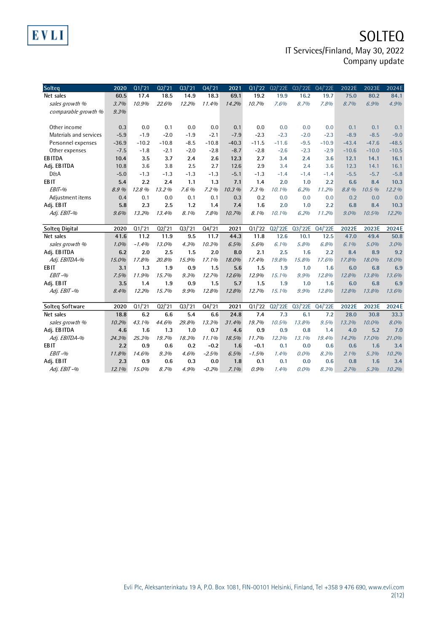## **SOLTEQ** IT Services/Finland, May 30, 2022 Company update

| Solteg                 | 2020    | Q1/21   | Q2/21   | Q3/21  | Q4/21   | 2021    | Q1/22   | Q2/'22E | Q3/'22E | Q4/'22E | 2022E   | 2023E   | 2024E   |
|------------------------|---------|---------|---------|--------|---------|---------|---------|---------|---------|---------|---------|---------|---------|
| Net sales              | 60.5    | 17.4    | 18.5    | 14.9   | 18.3    | 69.1    | 19.2    | 19.9    | 16.2    | 19.7    | 75.0    | 80.2    | 84.1    |
| sales growth %         | 3.7%    | 10.9%   | 22.6%   | 12.2%  | 11.4%   | 14.2%   | 10.7%   | 7.6%    | 8.7%    | 7.8%    | 8.7%    | 6.9%    | 4.9%    |
| comparable growth %    | 9.3%    |         |         |        |         |         |         |         |         |         |         |         |         |
|                        |         |         |         |        |         |         |         |         |         |         |         |         |         |
| Other income           | 0.3     | 0.0     | 0.1     | 0.0    | 0.0     | 0.1     | 0.0     | 0.0     | 0.0     | 0.0     | 0.1     | 0.1     | 0.1     |
| Materials and services | $-5.9$  | $-1.9$  | $-2.0$  | $-1.9$ | $-2.1$  | $-7.9$  | $-2.3$  | $-2.3$  | $-2.0$  | $-2.3$  | $-8.9$  | $-8.5$  | $-9.0$  |
| Personnel expenses     | $-36.9$ | $-10.2$ | $-10.8$ | $-8.5$ | $-10.8$ | $-40.3$ | $-11.5$ | $-11.6$ | $-9.5$  | $-10.9$ | $-43.4$ | $-47.6$ | $-48.5$ |
| Other expenses         | $-7.5$  | $-1.8$  | $-2.1$  | $-2.0$ | $-2.8$  | $-8.7$  | $-2.8$  | $-2.6$  | $-2.3$  | $-2.9$  | $-10.6$ | $-10.0$ | $-10.5$ |
| <b>EBITDA</b>          | 10.4    | 3.5     | 3.7     | 2.4    | 2.6     | 12.3    | 2.7     | 3.4     | 2.4     | 3.6     | 12.1    | 14.1    | 16.1    |
| Adj. EB ITDA           | 10.8    | 3.6     | 3.8     | 2.5    | 2.7     | 12.6    | 2.9     | 3.4     | 2.4     | 3.6     | 12.3    | 14.1    | 16.1    |
| <b>D&amp;A</b>         | $-5.0$  | $-1.3$  | $-1.3$  | $-1.3$ | $-1.3$  | $-5.1$  | $-1.3$  | $-1.4$  | $-1.4$  | $-1.4$  | $-5.5$  | $-5.7$  | $-5.8$  |
| EB <sub>IT</sub>       | 5.4     | 2.2     | 2.4     | 1.1    | 1.3     | 7.1     | 1.4     | 2.0     | 1.0     | 2.2     | 6.6     | 8.4     | 10.3    |
| $EBIT-96$              | 8.9%    | 12.8 %  | 13.2%   | 7.6%   | 7.2%    | 10.3%   | 7.3%    | 10.1%   | 6.2%    | 11.2%   | 8.8%    | 10.5%   | 12.2%   |
| Adjustment items       | 0.4     | 0.1     | 0.0     | 0.1    | 0.1     | 0.3     | 0.2     | 0.0     | 0.0     | 0.0     | 0.2     | 0.0     | 0.0     |
| Adj. EBIT              | 5.8     | 2.3     | 2.5     | 1.2    | 1.4     | 7.4     | 1.6     | 2.0     | 1.0     | 2.2     | 6.8     | 8.4     | 10.3    |
| Adj. EBIT-%            | 9.6%    | 13.2%   | 13.4%   | 8.1%   | 7.8%    | 10.7%   | 8.1%    | 10.1%   | 6.2%    | 11.2%   | 9.0%    | 10.5%   | 12.2%   |
|                        |         |         |         |        |         |         |         |         |         |         |         |         |         |
| Solteg Digital         | 2020    | Q1/21   | Q2/21   | Q3/21  | Q4/21   | 2021    | Q1/22   | Q2/'22E | Q3/'22E | Q4/'22E | 2022E   | 2023E   | 2024E   |
| Net sales              | 41.6    | 11.2    | 11.9    | 9.5    | 11.7    | 44.3    | 11.8    | 12.6    | 10.1    | 12.5    | 47.0    | 49.4    | 50.8    |
| sales growth %         | 1.0%    | $-1.4%$ | 13.0%   | 4.3%   | 10.3%   | 6.5%    | 5.6%    | 6.1%    | 5.8%    | 6.8%    | 6.1%    | 5.0%    | 3.0%    |
| Adj. EB ITDA           | 6.2     | 2.0     | 2.5     | 1.5    | 2.0     | 8.0     | 2.1     | 2.5     | 1.6     | 2.2     | 8.4     | 8.9     | 9.2     |
| Adj. EBITDA-%          | 15.0%   | 17.8%   | 20.8%   | 15.9%  | 17.1%   | 18.0%   | 17.4%   | 19.8%   | 15.8%   | 17.6%   | 17.8%   | 18.0%   | 18.0%   |
| EB <sub>IT</sub>       | 3.1     | 1.3     | 1.9     | 0.9    | 1.5     | 5.6     | 1.5     | 1.9     | 1.0     | 1.6     | 6.0     | 6.8     | 6.9     |
| $EBIT-96$              | 7.5%    | 11.9%   | 15.7%   | 9.3%   | 12.7%   | 12.6%   | 12.9%   | 15.1%   | 9.9%    | 12.8%   | 12.8%   | 13.8%   | 13.6%   |
| Adj. EBIT              | 3.5     | 1.4     | 1.9     | 0.9    | 1.5     | 5.7     | 1.5     | 1.9     | 1.0     | 1.6     | 6.0     | 6.8     | 6.9     |
| Adj. EBIT-%            | 8.4%    | 12.2%   | 15.7%   | 9.9%   | 12.8%   | 12.8%   | 12.7%   | 15.1%   | 9.9%    | 12.8%   | 12.8%   | 13.8%   | 13.6%   |
|                        |         |         |         |        |         |         |         |         |         |         |         |         |         |
| Solteg Software        | 2020    | Q1/21   | Q2/21   | Q3/21  | Q4/21   | 2021    | Q1/22   | Q2/'22E | Q3/'22E | Q4/'22E | 2022E   | 2023E   | 2024E   |
| Net sales              | 18.8    | 6.2     | 6.6     | 5.4    | 6.6     | 24.8    | 7.4     | 7.3     | 6.1     | 7.2     | 28.0    | 30.8    | 33.3    |
| sales growth %         | 10.2%   | 43.1%   | 44.6%   | 29.8%  | 13.3%   | 31.4%   | 19.7%   | 10.5%   | 13.8%   | 9.5%    | 13.3%   | 10.0%   | 8.0%    |
| Adj. EB ITDA           | 4.6     | 1.6     | 1.3     | 1.0    | 0.7     | 4.6     | 0.9     | 0.9     | 0.8     | 1.4     | 4.0     | 5.2     | 7.0     |
| Adj. EBITDA-%          | 24.3%   | 25.3%   | 19.7%   | 18.3%  | 11.1%   | 18.5%   | 11.7%   | 12.3%   | 13.1%   | 19.4%   | 14.2%   | 17.0%   | 21.0%   |
| EB <sub>IT</sub>       | 2.2     | 0.9     | 0.6     | 0.2    | $-0.2$  | 1.6     | $-0.1$  | 0.1     | 0.0     | 0.6     | 0.6     | 1.6     | 3.4     |
| $EBIT-96$              | 11.8%   | 14.6%   | 9.3%    | 4.6%   | $-2.5%$ | 6.5%    | $-1.5%$ | 1.4%    | $0.0\%$ | 8.3%    | 2.1%    | 5.3%    | 10.2%   |
| Adj. EBIT              | 2.3     | 0.9     | 0.6     | 0.3    | 0.0     | 1.8     | 0.1     | 0.1     | 0.0     | 0.6     | 0.8     | 1.6     | 3.4     |
| Adj. EBIT-%            | 12.1%   | 15.0%   | 8.7%    | 4.9%   | $-0.2%$ | 7.1%    | 0.9%    | 1.4%    | $0.0\%$ | 8.3%    | 2.7%    | 5.3%    | 10.2%   |

**EVLI**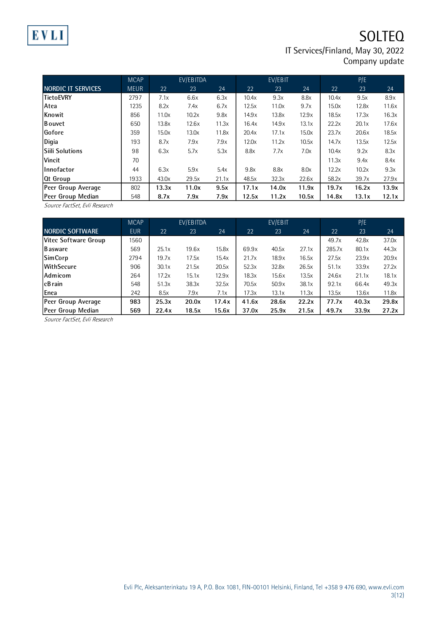

## **SOLTEQ** IT Services/Finland, May 30, 2022 Company update

|                           | <b>MCAP</b> |       | EV/EBITDA |       |       | EV/EBIT |       |       | P/E   |       |
|---------------------------|-------------|-------|-----------|-------|-------|---------|-------|-------|-------|-------|
| <b>NORDIC IT SERVICES</b> | <b>MEUR</b> | 22    | 23        | 24    | 22    | 23      | 24    | 22    | 23    | 24    |
| <b>TietoEVRY</b>          | 2797        | 7.1x  | 6.6x      | 6.3x  | 10.4x | 9.3x    | 8.8x  | 10.4x | 9.5x  | 8.9x  |
| Atea                      | 1235        | 8.2x  | 7.4x      | 6.7x  | 12.5x | 11.0x   | 9.7x  | 15.0x | 12.8x | 11.6x |
| Knowit                    | 856         | 11.0x | 10.2x     | 9.8x  | 14.9x | 13.8x   | 12.9x | 18.5x | 17.3x | 16.3x |
| Bouvet                    | 650         | 13.8x | 12.6x     | 11.3x | 16.4x | 14.9x   | 13.1x | 22.2x | 20.1x | 17.6x |
| Gofore                    | 359         | 15.0x | 13.0x     | 11.8x | 20.4x | 17.1x   | 15.0x | 23.7x | 20.6x | 18.5x |
| Digia                     | 193         | 8.7x  | 7.9x      | 7.9x  | 12.0x | 11.2x   | 10.5x | 14.7x | 13.5x | 12.5x |
| <b>Siili Solutions</b>    | 98          | 6.3x  | 5.7x      | 5.3x  | 8.8x  | 7.7x    | 7.0x  | 10.4x | 9.2x  | 8.3x  |
| Vincit                    | 70          |       |           |       |       |         |       | 11.3x | 9.4x  | 8.4x  |
| <b>Innofactor</b>         | 44          | 6.3x  | 5.9x      | 5.4x  | 9.8x  | 8.8x    | 8.0x  | 12.2x | 10.2x | 9.3x  |
| Ot Group                  | 1933        | 43.0x | 29.5x     | 21.1x | 48.5x | 32.3x   | 22.6x | 58.2x | 39.7x | 27.9x |
| Peer Group Average        | 802         | 13.3x | 11.0x     | 9.5x  | 17.1x | 14.0x   | 11.9x | 19.7x | 16.2x | 13.9x |
| Peer Group Median         | 548         | 8.7x  | 7.9x      | 7.9x  | 12.5x | 11.2x   | 10.5x | 14.8x | 13.1x | 12.1x |

Source FactSet, Evli Research

|                        | <b>MCAP</b> |       | EV/EBITDA |       |       | EV/EBIT |       |        | P/E   |       |
|------------------------|-------------|-------|-----------|-------|-------|---------|-------|--------|-------|-------|
| <b>NORDIC SOFTWARE</b> | <b>EUR</b>  | 22    | 23        | 24    | 22    | 23      | 24    | 22     | 23    | 24    |
| Vitec Software Group   | 1560        |       |           |       |       |         |       | 49.7x  | 42.8x | 37.0x |
| l Basware              | 569         | 25.1x | 19.6x     | 15.8x | 69.9x | 40.5x   | 27.1x | 285.7x | 80.1x | 44.3x |
| SimCorp                | 2794        | 19.7x | 17.5x     | 15.4x | 21.7x | 18.9x   | 16.5x | 27.5x  | 23.9x | 20.9x |
| WithSecure             | 906         | 30.1x | 21.5x     | 20.5x | 52.3x | 32.8x   | 26.5x | 51.1x  | 33.9x | 27.2x |
| Admicom                | 264         | 17.2x | 15.1x     | 12.9x | 18.3x | 15.6x   | 13.5x | 24.6x  | 21.1x | 18.1x |
| l cB rain              | 548         | 51.3x | 38.3x     | 32.5x | 70.5x | 50.9x   | 38.1x | 92.1x  | 66.4x | 49.3x |
| <b>L</b> enea          | 242         | 8.5x  | 7.9x      | 7.1x  | 17.3x | 13.1x   | 11.3x | 13.5x  | 13.6x | 11.8x |
| Peer Group Average     | 983         | 25.3x | 20.0x     | 17.4x | 41.6x | 28.6x   | 22.2x | 77.7x  | 40.3x | 29.8x |
| Peer Group Median      | 569         | 22.4x | 18.5x     | 15.6x | 37.0x | 25.9x   | 21.5x | 49.7x  | 33.9x | 27.2x |

Source FactSet, Evli Research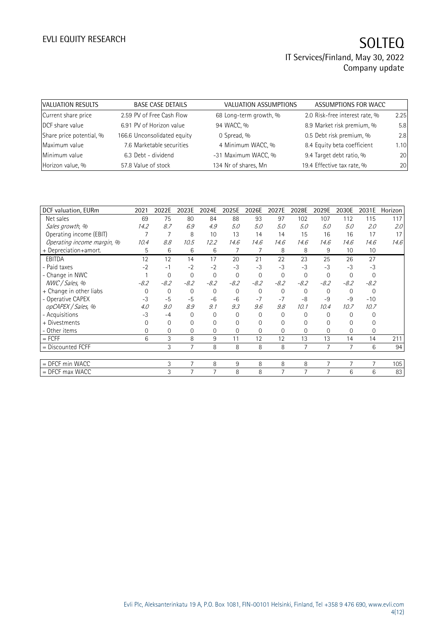| <b>VALUATION RESULTS</b> | <b>BASE CASE DETAILS</b>    | VALUATION ASSUMPTIONS  | ASSUMPTIONS FOR WACC           |      |
|--------------------------|-----------------------------|------------------------|--------------------------------|------|
| Current share price      | 2.59 PV of Free Cash Flow   | 68 Long-term growth, % | 2.0 Risk-free interest rate, % | 2.25 |
| DCF share value          | 6.91 PV of Horizon value    | 94 WACC, %             | 8.9 Market risk premium, %     | 5.8  |
| Share price potential, % | 166.6 Unconsolidated equity | 0 Spread, %            | 0.5 Debt risk premium, %       | 2.8  |
| Maximum value            | 7.6 Marketable securities   | 4 Minimum WACC, %      | 8.4 Equity beta coefficient    | 1.10 |
| Minimum value            | 6.3 Debt - dividend         | -31 Maximum WACC, %    | 9.4 Target debt ratio, %       | 20   |
| Horizon value, %         | 57.8 Value of stock         | 134 Nr of shares, Mn   | 19.4 Effective tax rate, %     | 20   |

| DCF valuation, EURm        | 2021     | 2022E          | 2023E          | 2024E          | 2025E          | 2026E    | 2027E          | 2028E        | 2029E    | 2030E          | 2031E          | Horizon |
|----------------------------|----------|----------------|----------------|----------------|----------------|----------|----------------|--------------|----------|----------------|----------------|---------|
| Net sales                  | 69       | 75             | 80             | 84             | 88             | 93       | 97             | 102          | 107      | 112            | 115            | 117     |
| Sales growth, %            | 14.2     | 8.7            | 6.9            | 4.9            | 5.0            | 5.0      | 5.0            | 5.0          | 5.0      | 5.0            | 2.0            | 2.0     |
| Operating income (EBIT)    |          | 7              | 8              | 10             | 13             | 14       | 14             | 15           | 16       | 16             | 17             | 17      |
| Operating income margin, % | 10.4     | 8.8            | 10.5           | 12.2           | 14.6           | 14.6     | 14.6           | 14.6         | 14.6     | 14.6           | 14.6           | 14.6    |
| + Depreciation+amort.      | 5        | 6              | 6              | 6              | 7              |          | 8              | 8            | 9        | 10             | 10             |         |
| <b>EBITDA</b>              | 12       | 12             | 14             | 17             | 20             | 21       | 22             | 23           | 25       | 26             | 27             |         |
| - Paid taxes               | $-2$     | $-1$           | $-2$           | $-2$           | $-3$           | $-3$     | $-3$           | $-3$         | $-3$     | $-3$           | $-3$           |         |
| - Change in NWC            |          | $\mathbf{0}$   | $\Omega$       | $\mathbf{0}$   | $\mathbf 0$    | $\Omega$ | $\overline{0}$ | $\mathbf{0}$ | $\Omega$ | $\overline{0}$ | $\mathbf 0$    |         |
| NWC / Sales, %             | $-8.2$   | $-8.2$         | $-8.2$         | $-8.2$         | $-8.2$         | $-8.2$   | $-8.2$         | $-8.2$       | $-8.2$   | $-8.2$         | $-8.2$         |         |
| + Change in other liabs    | $\Omega$ | $\mathbf 0$    | $\Omega$       | $\Omega$       | $\mathbf 0$    | $\Omega$ | $\Omega$       | 0            | $\Omega$ | $\Omega$       | $\Omega$       |         |
| - Operative CAPEX          | $-3$     | $-5$           | $-5$           | $-6$           | $-6$           | $-7$     | $-7$           | $-8$         | $-9$     | $-9$           | $-10$          |         |
| opCAPEX / Sales, %         | 4.0      | 9.0            | 8.9            | 9.1            | 9.3            | 9.6      | 9.8            | 10.1         | 10.4     | 10.7           | 10.7           |         |
| - Acquisitions             | $-3$     | $-4$           | $\Omega$       | $\Omega$       | $\mathbf 0$    | $\Omega$ | $\Omega$       | $\Omega$     | $\Omega$ | $\Omega$       | $\Omega$       |         |
| + Divestments              | 0        | $\mathbf{0}$   | 0              | 0              | $\overline{0}$ | $\Omega$ | 0              | 0            | $\Omega$ | $\Omega$       | 0              |         |
| - Other items              | $\Omega$ | $\overline{0}$ | $\Omega$       | $\Omega$       | $\overline{0}$ | $\Omega$ | $\Omega$       | 0            | $\Omega$ | $\Omega$       | $\overline{0}$ |         |
| $=$ FCFF                   | 6        | 3              | 8              | 9              | 11             | 12       | 12             | 13           | 13       | 14             | 14             | 211     |
| = Discounted FCFF          |          | 3              | $\overline{7}$ | 8              | 8              | 8        | 8              | 7            | 7        | 7              | 6              | 94      |
|                            |          |                |                |                |                |          |                |              |          |                |                |         |
| = DFCF min WACC            |          | 3              | 7              | 8              | 9              | 8        | 8              | 8            | 7        | $\overline{7}$ | 7              | 105     |
| $=$ DFCF max WACC          |          | 3              | 7              | $\overline{7}$ | 8              | 8        | 7              | 7            | 7        | 6              | 6              | 83      |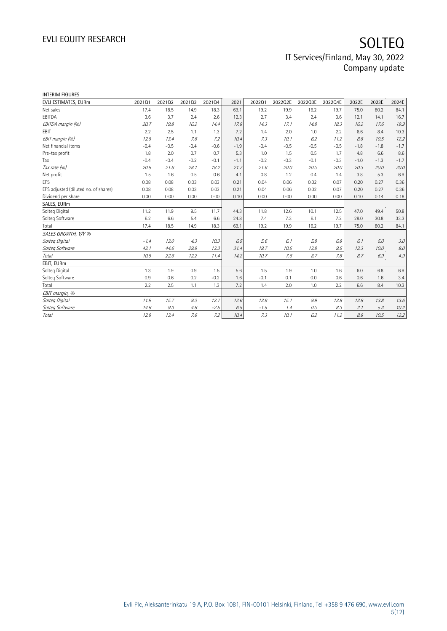| <b>INTERIM FIGURES</b>               |        |        |        |        |        |        |         |         |         |        |        |         |
|--------------------------------------|--------|--------|--------|--------|--------|--------|---------|---------|---------|--------|--------|---------|
| EVLI ESTIMATES, EURm                 | 202101 | 202102 | 202103 | 202104 | 2021   | 202201 | 2022Q2E | 2022Q3E | 2022Q4E | 2022E  | 2023E  | 2024E   |
| Net sales                            | 17.4   | 18.5   | 14.9   | 18.3   | 69.1   | 19.2   | 19.9    | 16.2    | 19.7    | 75.0   | 80.2   | 84.1    |
| EBITDA                               | 3.6    | 3.7    | 2.4    | 2.6    | 12.3   | 2.7    | 3.4     | 2.4     | 3.6     | 12.1   | 14.1   | 16.7    |
| EBITDA margin (%)                    | 20.7   | 19.8   | 16.2   | 14.4   | 17.8   | 14.3   | 17.1    | 14.8    | 18.3    | 16.2   | 17.6   | 19.9    |
| <b>FBIT</b>                          | 2.2    | 2.5    | 1.1    | 1.3    | 7.2    | 1.4    | 2.0     | 1.0     | 2.2     | 6.6    | 8.4    | 10.3    |
| EBIT margin (%)                      | 12.8   | 13.4   | 7.6    | 7.2    | 10.4   | 7.3    | 10.1    | 6.2     | 11.2    | 8.8    | 10.5   | 12.2    |
| Net financial items                  | $-0.4$ | $-0.5$ | $-0.4$ | $-0.6$ | $-1.9$ | $-0.4$ | $-0.5$  | $-0.5$  | $-0.5$  | $-1.8$ | $-1.8$ | $-1.7$  |
| Pre-tax profit                       | 1.8    | 2.0    | 0.7    | 0.7    | 5.3    | 1.0    | 1.5     | 0.5     | 1.7     | 4.8    | 6.6    | 8.6     |
| Tax                                  | $-0.4$ | $-0.4$ | $-0.2$ | $-0.1$ | $-1.1$ | $-0.2$ | $-0.3$  | $-0.1$  | $-0.3$  | $-1.0$ | $-1.3$ | $-1.7$  |
| Tax rate (%)                         | 20.8   | 21.6   | 28.1   | 18.2   | 21.7   | 21.6   | 20.0    | 20.0    | 20.0    | 20.3   | 20.0   | 20.0    |
| Net profit                           | 1.5    | 1.6    | 0.5    | 0.6    | 4.1    | 0.8    | 1.2     | 0.4     | 1.4     | 3.8    | 5.3    | 6.9     |
| EPS                                  | 0.08   | 0.08   | 0.03   | 0.03   | 0.21   | 0.04   | 0.06    | 0.02    | 0.07    | 0.20   | 0.27   | 0.36    |
| EPS adjusted (diluted no. of shares) | 0.08   | 0.08   | 0.03   | 0.03   | 0.21   | 0.04   | 0.06    | 0.02    | 0.07    | 0.20   | 0.27   | 0.36    |
| Dividend per share                   | 0.00   | 0.00   | 0.00   | 0.00   | 0.10   | 0.00   | 0.00    | 0.00    | 0.00    | 0.10   | 0.14   | 0.18    |
| SALES, EURm                          |        |        |        |        |        |        |         |         |         |        |        |         |
| Solteg Digital                       | 11.2   | 11.9   | 9.5    | 11.7   | 44.3   | 11.8   | 12.6    | 10.1    | 12.5    | 47.0   | 49.4   | 50.8    |
| Solteg Software                      | 6.2    | 6.6    | 5.4    | 6.6    | 24.8   | 7.4    | 7.3     | 6.1     | 7.2     | 28.0   | 30.8   | 33.3    |
| Total                                | 17.4   | 18.5   | 14.9   | 18.3   | 69.1   | 19.2   | 19.9    | 16.2    | 19.7    | 75.0   | 80.2   | 84.1    |
| SALES GROWTH, Y/Y %                  |        |        |        |        |        |        |         |         |         |        |        |         |
| Solteg Digital                       | $-1.4$ | 13.0   | 4.3    | 10.3   | 6.5    | 5.6    | 6.1     | 5.8     | 6.8     | 6.1    | 5.0    | 3.0     |
| Solteq Software                      | 43.1   | 44.6   | 29.8   | 13.3   | 31.4   | 19.7   | 10.5    | 13.8    | 9.5     | 13.3   | 10.0   | $8.0\,$ |
| Total                                | 10.9   | 22.6   | 12.2   | 11.4   | 14.2   | 10.7   | 7.6     | 8.7     | 7.8     | 8.7    | 6.9    | $4.9\,$ |
| EBIT, EURm                           |        |        |        |        |        |        |         |         |         |        |        |         |
| Solteg Digital                       | 1.3    | 1.9    | 0.9    | 1.5    | 5.6    | 1.5    | 1.9     | 1.0     | 1.6     | 6.0    | 6.8    | 6.9     |
| Solteg Software                      | 0.9    | 0.6    | 0.2    | $-0.2$ | 1.6    | $-0.1$ | 0.1     | 0.0     | 0.6     | 0.6    | 1.6    | 3.4     |
| Total                                | 2.2    | 2.5    | 1.1    | 1.3    | 7.2    | 1.4    | 2.0     | 1.0     | 2.2     | 6.6    | 8.4    | 10.3    |
| EBIT margin, %                       |        |        |        |        |        |        |         |         |         |        |        |         |
| Solteg Digital                       | 11.9   | 15.7   | 9.3    | 12.7   | 12.6   | 12.9   | 15.1    | 9.9     | 12.8    | 12.8   | 13.8   | 13.6    |
| Solteg Software                      | 14.6   | 9.3    | 4.6    | $-2.5$ | 6.5    | $-1.5$ | 1.4     | 0.0     | 8.3     | 2.1    | 5.3    | 10.2    |
| <b>Total</b>                         | 12.8   | 13.4   | 7.6    | 7.2    | 10.4   | 7.3    | 10.1    | 6.2     | 11.2    | 8.8    | 10.5   | 12.2    |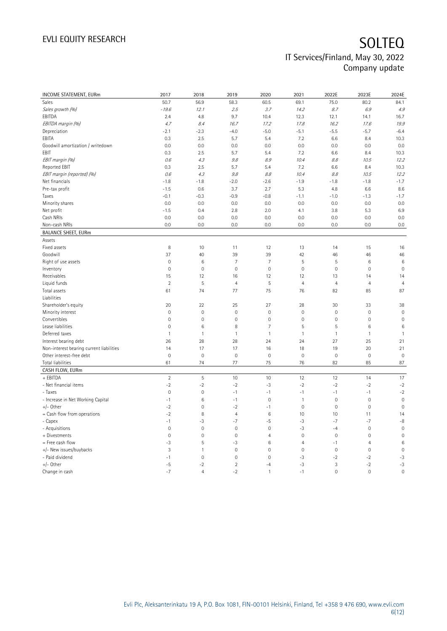| INCOME STATEMENT, EURm                   | 2017           | 2018           | 2019                | 2020                | 2021           | 2022E                    | 2023E               | 2024E           |
|------------------------------------------|----------------|----------------|---------------------|---------------------|----------------|--------------------------|---------------------|-----------------|
| Sales                                    | 50.7           | 56.9           | 58.3                | 60.5                | 69.1           | 75.0                     | 80.2                | 84.1            |
| Sales growth (%)                         | $-19.6$        | 12.1           | 2.5                 | 3.7                 | 14.2           | 8.7                      | 6.9                 | 4.9             |
| EBITDA                                   | 2.4            | 4.8            | 9.7                 | 10.4                | 12.3           | 12.1                     | 14.1                | 16.7            |
| EBITDA margin (%)                        | 4.7            | 8.4            | 16.7                | 17.2                | 17.8           | 16.2                     | 17.6                | 19.9            |
| Depreciation                             | $-2.1$         | $-2.3$         | $-4.0$              | $-5.0$              | $-5.1$         | $-5.5$                   | $-5.7$              | $-6.4$          |
| EBITA                                    | 0.3            | 2.5            | 5.7                 | 5.4                 | 7.2            | 6.6                      | 8.4                 | 10.3            |
| Goodwill amortization / writedown        | 0.0            | 0.0            | 0.0                 | 0.0                 | 0.0            | 0.0                      | 0.0                 | 0.0             |
| EBIT                                     | 0.3            | 2.5            | 5.7                 | 5.4                 | 7.2            | 6.6                      | 8.4                 | 10.3            |
| EBIT margin (%)                          | 0.6            | 4.3            | 9.8                 | 8.9                 | 10.4           | $\mathcal{S}\mathcal{S}$ | 10.5                | 12.2            |
| Reported EBIT                            | 0.3            | 2.5            | 5.7                 | 5.4                 | 7.2            | 6.6                      | 8.4                 | 10.3            |
| EBIT margin (reported) (%)               | 0.6            | 4.3            | $9.8\,$             | 8.8                 | 10.4           | $\mathcal{S}\mathcal{S}$ | 10.5                | 12.2            |
| Net financials                           | $-1.8$         | $-1.8$         | $-2.0$              | $-2.6$              | $-1.9$         | $-1.8$                   | $-1.8$              | $-1.7$          |
| Pre-tax profit                           | $-1.5$         | 0.6            | 3.7                 | 2.7                 | 5.3            | 4.8                      | 6.6                 | 8.6             |
| Taxes                                    | $-0.1$         | $-0.3$         | $-0.9$              | $-0.8$              | $-1.1$         | $-1.0$                   | $-1.3$              | $-1.7$          |
| Minority shares                          | 0.0            | 0.0            | 0.0                 | 0.0                 | 0.0            | 0.0                      | 0.0                 | 0.0             |
| Net profit                               | $-1.5$         | 0.4            | 2.8                 | 2.0                 | 4.1            | 3.8                      | 5.3                 | 6.9             |
| Cash NRIs                                | 0.0            | 0.0            | 0.0                 | 0.0                 | 0.0            | 0.0                      | 0.0                 | 0.0             |
| Non-cash NRIs                            | 0.0            | 0.0            | 0.0                 | 0.0                 | 0.0            | 0.0                      | 0.0                 | 0.0             |
| <b>BALANCE SHEET, EURm</b>               |                |                |                     |                     |                |                          |                     |                 |
| Assets                                   |                |                |                     |                     |                |                          |                     |                 |
| Fixed assets                             | 8              | 10             | 11                  | 12                  | 13             | 14                       | 15                  | 16              |
| Goodwill                                 | 37             | 40             | 39                  | 39                  | 42             | 46                       | 46                  | 46              |
| Right of use assets                      | $\mathbf 0$    | 6              | $\overline{7}$      | $\overline{7}$      | 5              | 5                        | $\,6\,$             | $6\phantom{1}6$ |
| Inventory                                | $\mathbf 0$    | 0              | $\mathbf 0$         | $\mathsf{O}\xspace$ | $\mathbf 0$    | 0                        | $\mathbf 0$         | $\mathbf 0$     |
| Receivables                              | 15             | 12             | 16                  | 12                  | 12             | 13                       | 14                  | 14              |
| Liquid funds                             | $\overline{2}$ | 5              | $\overline{4}$      | $\sqrt{5}$          | $\overline{4}$ | $\overline{4}$           | $\overline{4}$      | $\overline{4}$  |
| Total assets                             | 61             | 74             | 77                  | 75                  | 76             | 82                       | 85                  | 87              |
| Liabilities                              |                |                |                     |                     |                |                          |                     |                 |
| Shareholder's equity                     | 20             | 22             | 25                  | 27                  | 28             | 30                       | 33                  | 38              |
| Minority interest                        | $\mathbf 0$    | $\overline{0}$ | $\overline{0}$      | $\mathbf 0$         | $\mathbf 0$    | $\mathbf 0$              | $\mathbf 0$         | $\mathbf{0}$    |
| Convertibles                             | $\mathbf 0$    | 0              | 0                   | $\mathbb O$         | $\mathbf 0$    | 0                        | $\mathsf{O}\xspace$ | $\mathbb O$     |
| Lease liabilities                        | $\mathbf 0$    | 6              | 8                   | $\overline{7}$      | 5              | 5                        | $6\phantom{1}6$     | $6\phantom{1}6$ |
| Deferred taxes                           | $\mathbf{1}$   | $\mathbf{1}$   | $\mathbf{1}$        | $\mathbf{1}$        | $\mathbf{1}$   | $\mathbf{1}$             | $\mathbf{1}$        | $\mathbf{1}$    |
| Interest bearing debt                    | 26             | 28             | 28                  | 24                  | 24             | 27                       | 25                  | 21              |
| Non-interest bearing current liabilities | 14             | 17             | 17                  | 16                  | 18             | 19                       | 20                  | 21              |
| Other interest-free debt                 | $\mathbf 0$    | $\mathbf 0$    | $\mathbf 0$         | $\mathbf 0$         | $\mathbf 0$    | $\mathsf{O}\xspace$      | $\mathbf 0$         | $\mathbf 0$     |
| Total liabilities                        | 61             | 74             | 77                  | 75                  | 76             | 82                       | 85                  | 87              |
| CASH FLOW, EURm                          |                |                |                     |                     |                |                          |                     |                 |
| + EBITDA                                 | $\overline{2}$ | 5              | 10                  | 10                  | 12             | 12                       | 14                  | 17              |
| - Net financial items                    | $-2$           | $-2$           | $-2$                | $-3$                | $-2$           | $-2$                     | $-2$                | $-2$            |
| - Taxes                                  | $\mathbf 0$    | $\mathbf 0$    | $-1$                | $-1$                | $-1$           | $-1$                     | $-1$                | $-2$            |
| - Increase in Net Working Capital        | $-1$           | 6              | $-1$                | $\mathbb O$         | $\mathbf{1}$   | $\mathsf{O}\xspace$      | $\mathbf 0$         | $\mathbf 0$     |
| +/- Other                                | $-2$           | $\overline{0}$ | $-2$                | $-1$                | $\mathbf{0}$   | $\mathbf 0$              | $\mathbf 0$         | $\mathbf 0$     |
| = Cash flow from operations              | $-2$           | 8              | $\overline{4}$      | $\,6\,$             | 10             | 10                       | 11                  | 14              |
| - Capex                                  | $-1$           | $-3$           | $-7$                | $-5$                | $-3$           | $-7$                     | $-7$                | $-8$            |
| - Acquisitions                           | $\mathbf 0$    | $\mathbf 0$    | $\mathbb O$         | $\mathbf 0$         | $-3$           | $-4$                     | $\mathbf 0$         | $\mathbf 0$     |
| + Divestments                            | $\mathbf{0}$   | $\overline{0}$ | $\mathsf{O}\xspace$ | $\overline{4}$      | $\mathbf 0$    | 0                        | $\mathsf{O}\xspace$ | $\mathbb O$     |
| = Free cash flow                         | -3             | 5              | -3                  | $6\,$               | $\overline{4}$ | $-1$                     | $\overline{4}$      | $\,6$           |
| +/- New issues/buybacks                  | 3              | $\mathbf{1}$   | $\mathsf{O}\xspace$ | $\mathsf{O}\xspace$ | $\mathbf 0$    | $\mathsf{O}\xspace$      | $\mathbf 0$         | $\mathbf 0$     |
| - Paid dividend                          | $-1$           | $\overline{0}$ | $\overline{0}$      | $\mathbf 0$         | $-3$           | $-2$                     | $-2$                | $-3$            |
| +/- Other                                | $-5$           | $-2$           | $\overline{2}$      | $-4$                | $-3$           | 3                        | $-2$                | $-3$            |
| Change in cash                           | $-7$           | $\overline{4}$ | $-2$                | $\mathbf{1}$        | $-1$           | $\Omega$                 | $\mathbf 0$         | $\mathbf 0$     |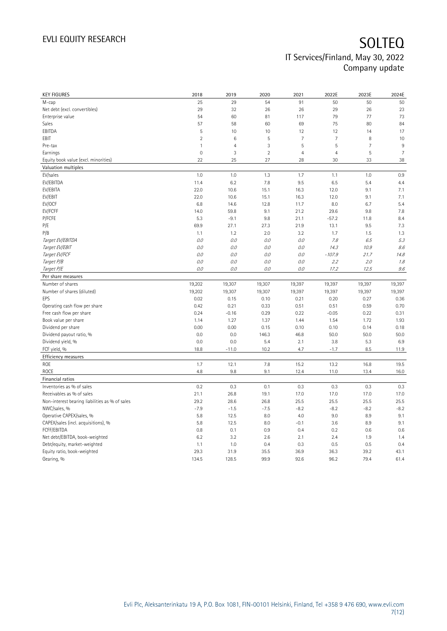| <b>KEY FIGURES</b>                             | 2018           | 2019            | 2020           | 2021           | 2022E          | 2023E          | 2024E          |
|------------------------------------------------|----------------|-----------------|----------------|----------------|----------------|----------------|----------------|
| M-cap                                          | 25             | 29              | 54             | 91             | 50             | 50             | 50             |
| Net debt (excl. convertibles)                  | 29             | 32              | 26             | 26             | 29             | 26             | 23             |
| Enterprise value                               | 54             | 60              | 81             | 117            | 79             | 77             | 73             |
| Sales                                          | 57             | 58              | 60             | 69             | 75             | 80             | 84             |
| EBITDA                                         | 5              | 10              | 10             | 12             | 12             | 14             | 17             |
| EBIT                                           | $\overline{2}$ | $6\phantom{1}6$ | 5              | $\overline{7}$ | $\overline{7}$ | 8              | 10             |
| Pre-tax                                        | $\mathbf{1}$   | $\overline{4}$  | 3              | 5              | 5              | $\overline{7}$ | 9              |
| Earnings                                       | $\mathbf 0$    | 3               | $\overline{2}$ | $\overline{4}$ | $\overline{4}$ | 5              | $\overline{7}$ |
| Equity book value (excl. minorities)           | 22             | 25              | 27             | 28             | 30             | 33             | 38             |
| Valuation multiples                            |                |                 |                |                |                |                |                |
| EV/sales                                       | 1.0            | 1.0             | 1.3            | 1.7            | 1.1            | 1.0            | 0.9            |
| EV/EBITDA                                      | 11.4           | 6.2             | 7.8            | 9.5            | 6.5            | 5.4            | 4.4            |
| EV/EBITA                                       | 22.0           | 10.6            | 15.1           | 16.3           | 12.0           | 9.1            | 7.1            |
| EV/EBIT                                        | 22.0           | 10.6            | 15.1           | 16.3           | 12.0           | 9.1            | 7.1            |
| EV/OCF                                         | 6.8            | 14.6            | 12.8           | 11.7           | 8.0            | 6.7            | 5.4            |
| EV/FCFF                                        | 14.0           | 59.8            | 9.1            | 21.2           | 29.6           | 9.8            | 7.8            |
| P/FCFE                                         | 5.3            | $-9.1$          | 9.8            | 21.1           | $-57.2$        | 11.8           | 8.4            |
| P/E                                            | 69.9           | 27.1            | 27.3           | 21.9           | 13.1           | 9.5            | 7.3            |
| P/B                                            | 1.1            | 1.2             | 2.0            | 3.2            | 1.7            | 1.5            | 1.3            |
| Target EV/EBITDA                               | 0.0            | 0.0             | 0.0            | 0.0            | 7.8            | 6.5            | 5.3            |
| Target EV/EBIT                                 | 0.0            | 0.0             | 0.0            | 0.0            | 14.3           | 10.9           | 8.6            |
| Target EV/FCF                                  | 0.0            | 0.0             | 0.0            | 0.0            | $-107.9$       | 21.7           | 14.8           |
|                                                | 0.0            | 0.0             | 0.0            |                | 2.2            |                |                |
| Target P/B                                     |                |                 |                | 0.0            |                | 2.0            | 1.8            |
| Target P/E                                     | 0.0            | 0.0             | 0.0            | 0.0            | 17.2           | 12.5           | 9.6            |
| Per share measures                             |                |                 |                |                |                |                |                |
| Number of shares                               | 19,202         | 19,307          | 19,307         | 19,397         | 19,397         | 19,397         | 19,397         |
|                                                |                | 19,307          | 19,307         | 19,397         | 19,397         | 19,397         |                |
| Number of shares (diluted)                     | 19,202         |                 |                |                |                |                | 19,397         |
| EPS                                            | 0.02           | 0.15            | 0.10           | 0.21           | 0.20           | 0.27           | 0.36           |
| Operating cash flow per share                  | 0.42           | 0.21            | 0.33           | 0.51           | 0.51           | 0.59           | 0.70           |
| Free cash flow per share                       | 0.24           | $-0.16$         | 0.29           | 0.22           | $-0.05$        | 0.22           | 0.31           |
| Book value per share                           | 1.14           | 1.27            | 1.37           | 1.44           | 1.54           | 1.72           | 1.93           |
| Dividend per share                             | 0.00           | 0.00            | 0.15           | 0.10           | 0.10           | 0.14           | 0.18           |
| Dividend payout ratio, %                       | 0.0            | 0.0             | 146.3          | 46.8           | 50.0           | 50.0           | 50.0           |
| Dividend yield, %                              | 0.0            | 0.0             | 5.4            | 2.1            | 3.8            | 5.3            | 6.9            |
| FCF yield, %                                   | 18.8           | $-11.0$         | 10.2           | 4.7            | $-1.7$         | 8.5            | 11.9           |
| Efficiency measures                            |                |                 |                |                |                |                |                |
| ROE                                            | 1.7            | 12.1            | 7.8            | 15.2           | 13.2           | 16.8           | 19.5           |
| <b>ROCE</b>                                    | 4.8            | 9.8             | 9.1            | 12.4           | 11.0           | 13.4           | 16.0           |
| Financial ratios                               |                |                 |                |                |                |                |                |
| Inventories as % of sales                      | 0.2            | 0.3             | 0.1            | 0.3            | 0.3            | 0.3            | 0.3            |
| Receivables as % of sales                      | 21.1           | 26.8            | 19.1           | 17.0           | 17.0           | 17.0           | 17.0           |
|                                                |                |                 |                |                |                |                |                |
| Non-interest bearing liabilities as % of sales | 29.2           | 28.6            | 26.8           | 25.5           | 25.5           | 25.5           | 25.5           |
| NWC/sales, %                                   | $-7.9$         | $-1.5$          | $-7.5$         | $-8.2$         | $-8.2$         | $-8.2$         | $-8.2$         |
| Operative CAPEX/sales, %                       | 5.8            | 12.5            | 8.0            | 4.0            | 9.0            | 8.9            | 9.1            |
| CAPEX/sales (incl. acquisitions), %            | 5.8            | 12.5            | 8.0            | $-0.1$         | 3.6            | 8.9            | 9.1            |
| FCFF/EBITDA                                    | 0.8            | 0.1             | 0.9            | 0.4            | 0.2            | 0.6            | 0.6            |
| Net debt/EBITDA, book-weighted                 | 6.2            | 3.2             | 2.6            | 2.1            | 2.4            | 1.9            | 1.4            |
| Debt/equity, market-weighted                   | 1.1            | 1.0             | 0.4            | 0.3            | 0.5            | 0.5            | 0.4            |
| Equity ratio, book-weighted<br>Gearing, %      | 29.3<br>134.5  | 31.9<br>128.5   | 35.5<br>99.9   | 36.9<br>92.6   | 36.3<br>96.2   | 39.2<br>79.4   | 43.1<br>61.4   |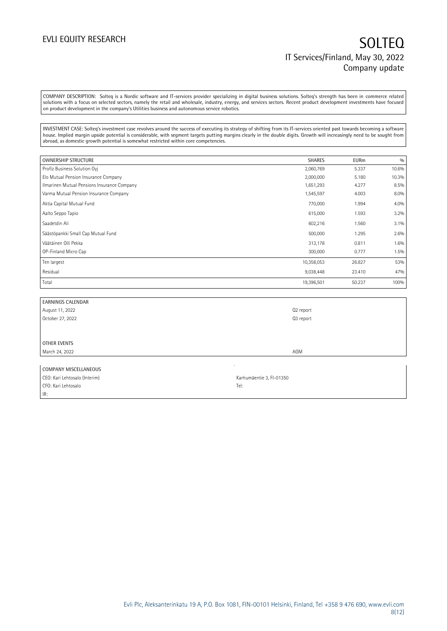COMPANY DESCRIPTION: Solteq is a Nordic software and IT-services provider specializing in digital business solutions. Solteq's strength has been in commerce related solutions with a focus on selected sectors, namely the retail and wholesale, industry, energy, and services sectors. Recent product development investments have focused on product development in the company's Utilities business and autonomous service robotics.

INVESTMENT CASE: Solteq's investment case revolves around the success of executing its strategy of shifting from its IT-services oriented past towards becoming a software house. Implied margin upside potential is considerable, with segment targets putting margins clearly in the double digits. Growth will increasingly need to be sought from abroad, as domestic growth potential is somewhat restricted within core competencies.

| OWNERSHIP STRUCTURE                         | <b>SHARES</b> | <b>EURm</b> | 0/0   |
|---------------------------------------------|---------------|-------------|-------|
| Profiz Business Solution Oyj                | 2,060,769     | 5.337       | 10.6% |
| Elo Mutual Pension Insurance Company        | 2,000,000     | 5.180       | 10.3% |
| Ilmarinen Mutual Pensions Insurance Company | 1,651,293     | 4.277       | 8.5%  |
| Varma Mutual Pension Insurance Company      | 1,545,597     | 4.003       | 8.0%  |
| Aktia Capital Mutual Fund                   | 770,000       | 1.994       | 4.0%  |
| Aalto Seppo Tapio                           | 615,000       | 1.593       | 3.2%  |
| Saadetdin Ali                               | 602,216       | 1.560       | 3.1%  |
| Säästöpankki Small Cap Mutual Fund          | 500,000       | 1.295       | 2.6%  |
| Väätäinen Olli Pekka                        | 313,178       | 0.811       | 1.6%  |
| OP-Finland Micro Cap                        | 300,000       | 0.777       | 1.5%  |
| Ten largest                                 | 10,358,053    | 26.827      | 53%   |
| Residual                                    | 9,038,448     | 23.410      | 47%   |
| Total                                       | 19,396,501    | 50.237      | 100%  |

| <b>EARNINGS CALENDAR</b>            |           |
|-------------------------------------|-----------|
| August 11, 2022<br>October 27, 2022 | Q2 report |
|                                     | Q3 report |
|                                     |           |
|                                     |           |
| <b>OTHER EVENTS</b>                 |           |
| March 24, 2022                      | AGM       |
|                                     |           |

| COMPANY MISCELLANEOUS         |                          |
|-------------------------------|--------------------------|
| CEO: Kari Lehtosalo (Interim) | Karhumäentie 3, FI-01350 |
| CFO: Kari Lehtosalo           | Tel:                     |
| IR:                           |                          |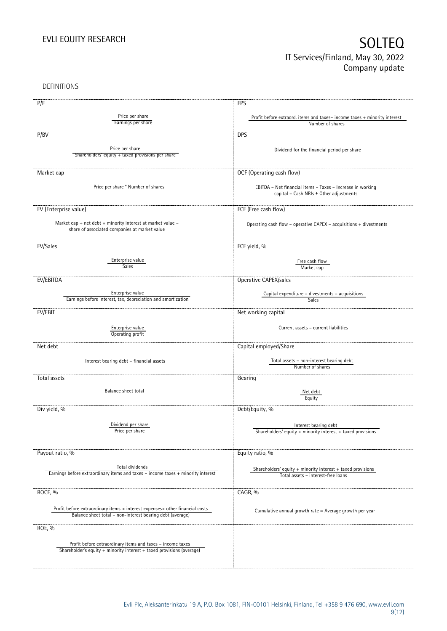DEFINITIONS

| P/E                                                                                                 | EPS                                                                      |
|-----------------------------------------------------------------------------------------------------|--------------------------------------------------------------------------|
|                                                                                                     |                                                                          |
| Price per share<br>Earnings per share                                                               | Profit before extraord. items and taxes-income taxes + minority interest |
|                                                                                                     | Number of shares                                                         |
| P/BV                                                                                                | <b>DPS</b>                                                               |
|                                                                                                     |                                                                          |
| Price per share                                                                                     | Dividend for the financial period per share                              |
| Shareholders' equity + taxed provisions per share                                                   |                                                                          |
|                                                                                                     |                                                                          |
| Market cap                                                                                          | OCF (Operating cash flow)                                                |
|                                                                                                     |                                                                          |
| Price per share * Number of shares                                                                  | EBITDA - Net financial items - Taxes - Increase in working               |
|                                                                                                     | capital - Cash NRIs ± Other adjustments                                  |
|                                                                                                     |                                                                          |
| EV (Enterprise value)                                                                               | FCF (Free cash flow)                                                     |
|                                                                                                     |                                                                          |
| Market cap + net debt + minority interest at market value -                                         | Operating cash flow - operative CAPEX - acquisitions + divestments       |
| share of associated companies at market value                                                       |                                                                          |
|                                                                                                     |                                                                          |
| EV/Sales                                                                                            | FCF yield, %                                                             |
|                                                                                                     |                                                                          |
| Enterprise value                                                                                    | Free cash flow                                                           |
| Sales <sup>-</sup>                                                                                  | Market cap                                                               |
| EV/EBITDA                                                                                           |                                                                          |
|                                                                                                     | Operative CAPEX/sales                                                    |
| Enterprise value                                                                                    | Capital expenditure - divestments - acquisitions                         |
| Earnings before interest, tax, depreciation and amortization                                        | <b>Sales</b>                                                             |
|                                                                                                     |                                                                          |
| EV/EBIT                                                                                             | Net working capital                                                      |
|                                                                                                     |                                                                          |
| Enterprise value                                                                                    | Current assets - current liabilities                                     |
| Operating profit                                                                                    |                                                                          |
| Net debt                                                                                            | Capital employed/Share                                                   |
|                                                                                                     |                                                                          |
| Interest bearing debt - financial assets                                                            | Total assets - non-interest bearing debt                                 |
|                                                                                                     | Number of shares                                                         |
|                                                                                                     |                                                                          |
| Total assets                                                                                        | Gearing                                                                  |
| Balance sheet total                                                                                 |                                                                          |
|                                                                                                     | Net debt<br>Equity                                                       |
|                                                                                                     |                                                                          |
| Div yield, %                                                                                        | Debt/Equity, %                                                           |
|                                                                                                     |                                                                          |
| Dividend per share                                                                                  | Interest bearing debt                                                    |
| Price per share                                                                                     | Shareholders' equity + minority interest + taxed provisions              |
|                                                                                                     |                                                                          |
|                                                                                                     |                                                                          |
| Payout ratio, %                                                                                     | Equity ratio, %                                                          |
|                                                                                                     |                                                                          |
| Total dividends<br>Earnings before extraordinary items and taxes - income taxes + minority interest | Shareholders' equity + minority interest + taxed provisions              |
|                                                                                                     | Total assets - interest-free loans                                       |
|                                                                                                     |                                                                          |
| ROCE, %                                                                                             | CAGR, %                                                                  |
|                                                                                                     |                                                                          |
| Profit before extraordinary items + interest expenses+ other financial costs                        | Cumulative annual growth rate = Average growth per year                  |
| Balance sheet total - non-interest bearing debt (average)                                           |                                                                          |
|                                                                                                     |                                                                          |
| ROE, %                                                                                              |                                                                          |
|                                                                                                     |                                                                          |
| Profit before extraordinary items and taxes - income taxes                                          |                                                                          |
| Shareholder's equity + minority interest + taxed provisions (average)                               |                                                                          |
|                                                                                                     |                                                                          |
|                                                                                                     |                                                                          |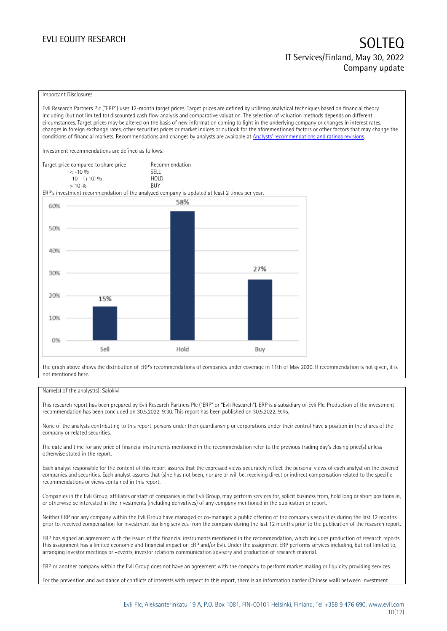### Important Disclosures

Evli Research Partners Plc ("ERP") uses 12-month target prices. Target prices are defined by utilizing analytical techniques based on financial theory including (but not limited to) discounted cash flow analysis and comparative valuation. The selection of valuation methods depends on different circumstances. Target prices may be altered on the basis of new information coming to light in the underlying company or changes in interest rates, changes in foreign exchange rates, other securities prices or market indices or outlook for the aforementioned factors or other factors that may change the conditions of financial markets. Recommendations and changes by analysts are available at [Analysts' recommendations and ratings revisions](https://research.evli.com/JasperAllModels.action?authParam=key;461&authParam=x;G3rNagWrtf7K&authType=3).

Investment recommendations are defined as follows:

Target price compared to share price Recommendation<br>CELL CALLO 06 < -10 % SELL  $-10 - (+10) \%$  HOL<br>  $> 10 \%$  BUY  $> 10\%$ 

ERP's investment recommendation of the analyzed company is updated at least 2 times per year.



The graph above shows the distribution of ERP's recommendations of companies under coverage in 11th of May 2020. If recommendation is not given, it is not mentioned here.

### Name(s) of the analyst(s): Salokivi

This research report has been prepared by Evli Research Partners Plc ("ERP" or "Evli Research"). ERP is a subsidiary of Evli Plc. Production of the investment recommendation has been concluded on 30.5.2022, 9:30. This report has been published on 30.5.2022, 9:45.

None of the analysts contributing to this report, persons under their guardianship or corporations under their control have a position in the shares of the company or related securities.

The date and time for any price of financial instruments mentioned in the recommendation refer to the previous trading day's closing price(s) unless otherwise stated in the report.

Each analyst responsible for the content of this report assures that the expressed views accurately reflect the personal views of each analyst on the covered companies and securities. Each analyst assures that (s)he has not been, nor are or will be, receiving direct or indirect compensation related to the specific recommendations or views contained in this report.

Companies in the Evli Group, affiliates or staff of companies in the Evli Group, may perform services for, solicit business from, hold long or short positions in, or otherwise be interested in the investments (including derivatives) of any company mentioned in the publication or report.

Neither ERP nor any company within the Evli Group have managed or co-managed a public offering of the company's securities during the last 12 months prior to, received compensation for investment banking services from the company during the last 12 months prior to the publication of the research report.

ERP has signed an agreement with the issuer of the financial instruments mentioned in the recommendation, which includes production of research reports. This assignment has a limited economic and financial impact on ERP and/or Evli. Under the assignment ERP performs services including, but not limited to, arranging investor meetings or –events, investor relations communication advisory and production of research material.

ERP or another company within the Evli Group does not have an agreement with the company to perform market making or liquidity providing services.

For the prevention and avoidance of conflicts of interests with respect to this report, there is an information barrier (Chinese wall) between Investment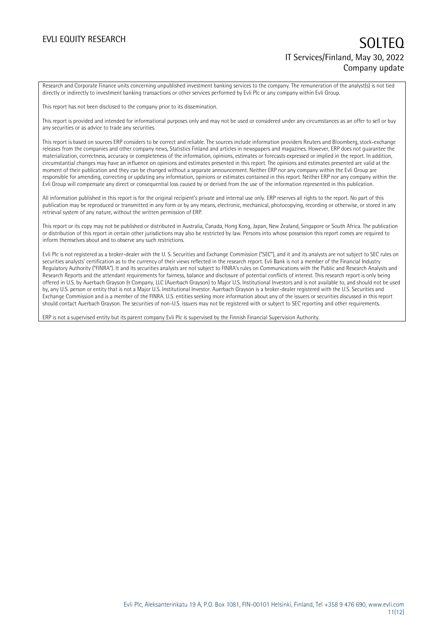Research and Corporate Finance units concerning unpublished investment banking services to the company. The remuneration of the analyst(s) is not tied directly or indirectly to investment banking transactions or other services performed by Evli Plc or any company within Evli Group.

This report has not been disclosed to the company prior to its dissemination.

This report is provided and intended for informational purposes only and may not be used or considered under any circumstances as an offer to sell or buy any securities or as advice to trade any securities.

This report is based on sources ERP considers to be correct and reliable. The sources include information providers Reuters and Bloomberg, stock-exchange releases from the companies and other company news, Statistics Finland and articles in newspapers and magazines. However, ERP does not guarantee the materialization, correctness, accuracy or completeness of the information, opinions, estimates or forecasts expressed or implied in the report. In addition, circumstantial changes may have an influence on opinions and estimates presented in this report. The opinions and estimates presented are valid at the moment of their publication and they can be changed without a separate announcement. Neither ERP nor any company within the Evli Group are responsible for amending, correcting or updating any information, opinions or estimates contained in this report. Neither ERP nor any company within the Evli Group will compensate any direct or consequential loss caused by or derived from the use of the information represented in this publication.

All information published in this report is for the original recipient's private and internal use only. ERP reserves all rights to the report. No part of this publication may be reproduced or transmitted in any form or by any means, electronic, mechanical, photocopying, recording or otherwise, or stored in any retrieval system of any nature, without the written permission of ERP.

This report or its copy may not be published or distributed in Australia, Canada, Hong Kong, Japan, New Zealand, Singapore or South Africa. The publication or distribution of this report in certain other jurisdictions may also be restricted by law. Persons into whose possession this report comes are required to inform themselves about and to observe any such restrictions.

Evli Plc is not registered as a broker-dealer with the U. S. Securities and Exchange Commission ("SEC"), and it and its analysts are not subject to SEC rules on securities analysts' certification as to the currency of their views reflected in the research report. Evli Bank is not a member of the Financial Industry Regulatory Authority ("FINRA"). It and its securities analysts are not subject to FINRA's rules on Communications with the Public and Research Analysts and Research Reports and the attendant requirements for fairness, balance and disclosure of potential conflicts of interest. This research report is only being offered in U.S. by Auerbach Grayson & Company, LLC (Auerbach Grayson) to Major U.S. Institutional Investors and is not available to, and should not be used by, any U.S. person or entity that is not a Major U.S. Institutional Investor. Auerbach Grayson is a broker-dealer registered with the U.S. Securities and Exchange Commission and is a member of the FINRA. U.S. entities seeking more information about any of the issuers or securities discussed in this report should contact Auerbach Grayson. The securities of non-U.S. issuers may not be registered with or subject to SEC reporting and other requirements.

ERP is not a supervised entity but its parent company Evli Plc is supervised by the Finnish Financial Supervision Authority.